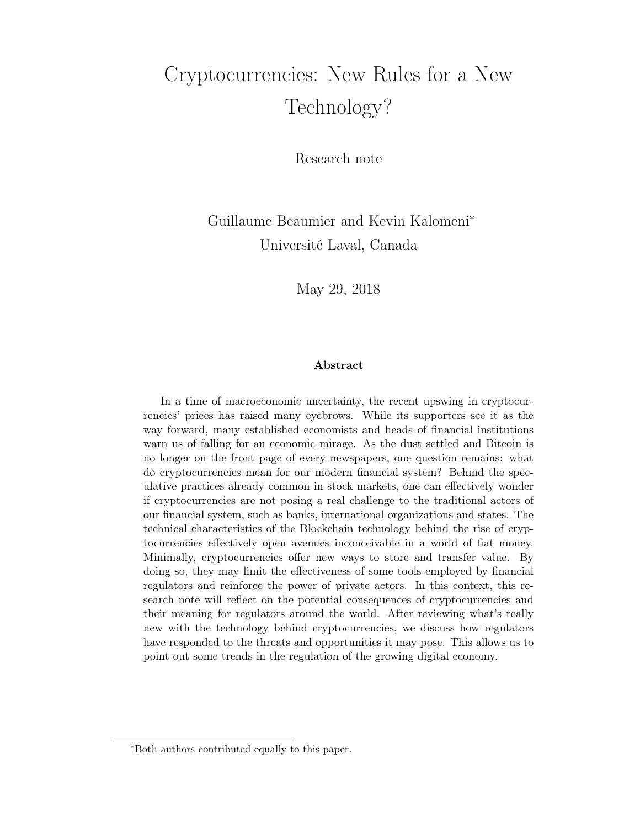# Cryptocurrencies: New Rules for a New Technology?

Research note

Guillaume Beaumier and Kevin Kalomeni<sup>∗</sup> Université Laval, Canada

May 29, 2018

#### Abstract

In a time of macroeconomic uncertainty, the recent upswing in cryptocurrencies' prices has raised many eyebrows. While its supporters see it as the way forward, many established economists and heads of financial institutions warn us of falling for an economic mirage. As the dust settled and Bitcoin is no longer on the front page of every newspapers, one question remains: what do cryptocurrencies mean for our modern financial system? Behind the speculative practices already common in stock markets, one can effectively wonder if cryptocurrencies are not posing a real challenge to the traditional actors of our financial system, such as banks, international organizations and states. The technical characteristics of the Blockchain technology behind the rise of cryptocurrencies effectively open avenues inconceivable in a world of fiat money. Minimally, cryptocurrencies offer new ways to store and transfer value. By doing so, they may limit the effectiveness of some tools employed by financial regulators and reinforce the power of private actors. In this context, this research note will reflect on the potential consequences of cryptocurrencies and their meaning for regulators around the world. After reviewing what's really new with the technology behind cryptocurrencies, we discuss how regulators have responded to the threats and opportunities it may pose. This allows us to point out some trends in the regulation of the growing digital economy.

<sup>∗</sup>Both authors contributed equally to this paper.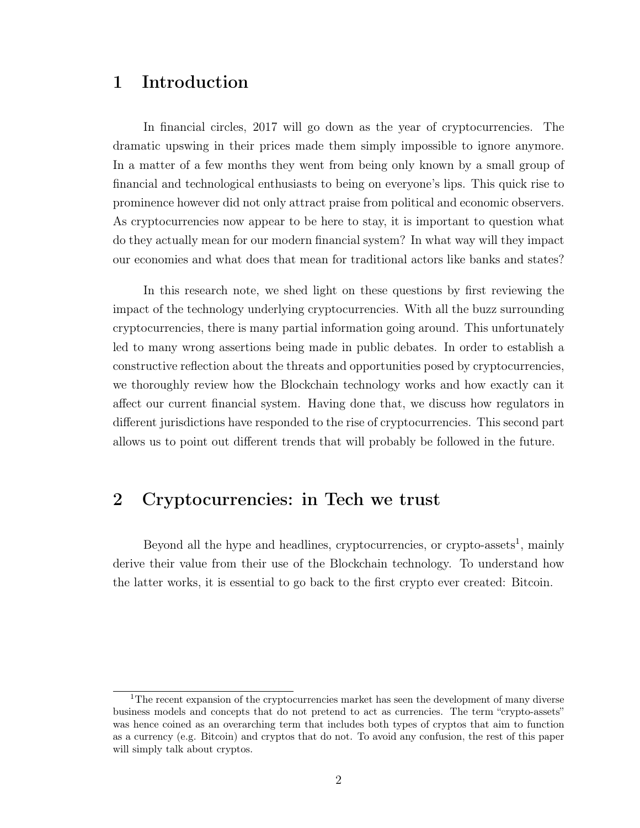## 1 Introduction

In financial circles, 2017 will go down as the year of cryptocurrencies. The dramatic upswing in their prices made them simply impossible to ignore anymore. In a matter of a few months they went from being only known by a small group of financial and technological enthusiasts to being on everyone's lips. This quick rise to prominence however did not only attract praise from political and economic observers. As cryptocurrencies now appear to be here to stay, it is important to question what do they actually mean for our modern financial system? In what way will they impact our economies and what does that mean for traditional actors like banks and states?

In this research note, we shed light on these questions by first reviewing the impact of the technology underlying cryptocurrencies. With all the buzz surrounding cryptocurrencies, there is many partial information going around. This unfortunately led to many wrong assertions being made in public debates. In order to establish a constructive reflection about the threats and opportunities posed by cryptocurrencies, we thoroughly review how the Blockchain technology works and how exactly can it affect our current financial system. Having done that, we discuss how regulators in different jurisdictions have responded to the rise of cryptocurrencies. This second part allows us to point out different trends that will probably be followed in the future.

## 2 Cryptocurrencies: in Tech we trust

Beyond all the hype and headlines, cryptocurrencies, or crypto-assets<sup>1</sup>, mainly derive their value from their use of the Blockchain technology. To understand how the latter works, it is essential to go back to the first crypto ever created: Bitcoin.

<sup>&</sup>lt;sup>1</sup>The recent expansion of the cryptocurrencies market has seen the development of many diverse business models and concepts that do not pretend to act as currencies. The term "crypto-assets" was hence coined as an overarching term that includes both types of cryptos that aim to function as a currency (e.g. Bitcoin) and cryptos that do not. To avoid any confusion, the rest of this paper will simply talk about cryptos.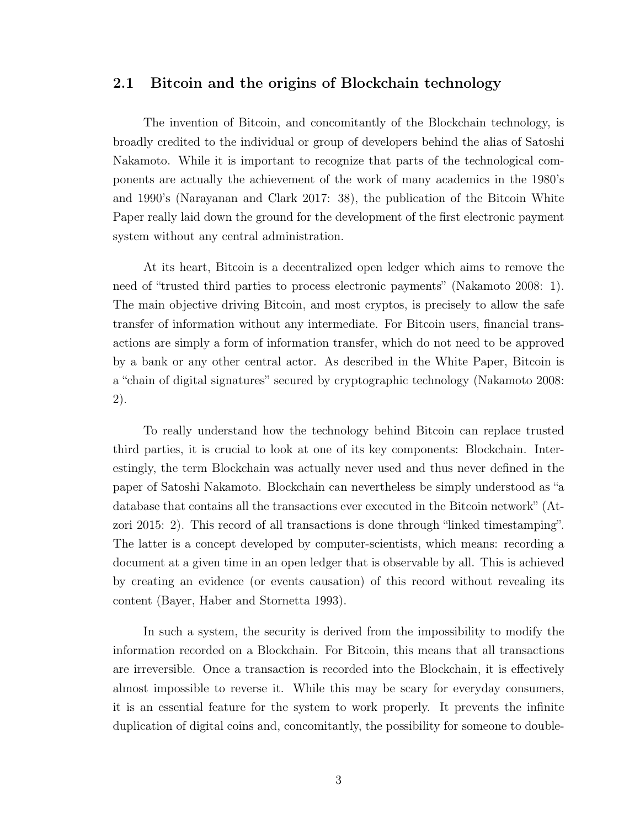#### 2.1 Bitcoin and the origins of Blockchain technology

The invention of Bitcoin, and concomitantly of the Blockchain technology, is broadly credited to the individual or group of developers behind the alias of Satoshi Nakamoto. While it is important to recognize that parts of the technological components are actually the achievement of the work of many academics in the 1980's and 1990's (Narayanan and Clark 2017: 38), the publication of the Bitcoin White Paper really laid down the ground for the development of the first electronic payment system without any central administration.

At its heart, Bitcoin is a decentralized open ledger which aims to remove the need of "trusted third parties to process electronic payments" (Nakamoto 2008: 1). The main objective driving Bitcoin, and most cryptos, is precisely to allow the safe transfer of information without any intermediate. For Bitcoin users, financial transactions are simply a form of information transfer, which do not need to be approved by a bank or any other central actor. As described in the White Paper, Bitcoin is a "chain of digital signatures" secured by cryptographic technology (Nakamoto 2008: 2).

To really understand how the technology behind Bitcoin can replace trusted third parties, it is crucial to look at one of its key components: Blockchain. Interestingly, the term Blockchain was actually never used and thus never defined in the paper of Satoshi Nakamoto. Blockchain can nevertheless be simply understood as "a database that contains all the transactions ever executed in the Bitcoin network" (Atzori 2015: 2). This record of all transactions is done through "linked timestamping". The latter is a concept developed by computer-scientists, which means: recording a document at a given time in an open ledger that is observable by all. This is achieved by creating an evidence (or events causation) of this record without revealing its content (Bayer, Haber and Stornetta 1993).

In such a system, the security is derived from the impossibility to modify the information recorded on a Blockchain. For Bitcoin, this means that all transactions are irreversible. Once a transaction is recorded into the Blockchain, it is effectively almost impossible to reverse it. While this may be scary for everyday consumers, it is an essential feature for the system to work properly. It prevents the infinite duplication of digital coins and, concomitantly, the possibility for someone to double-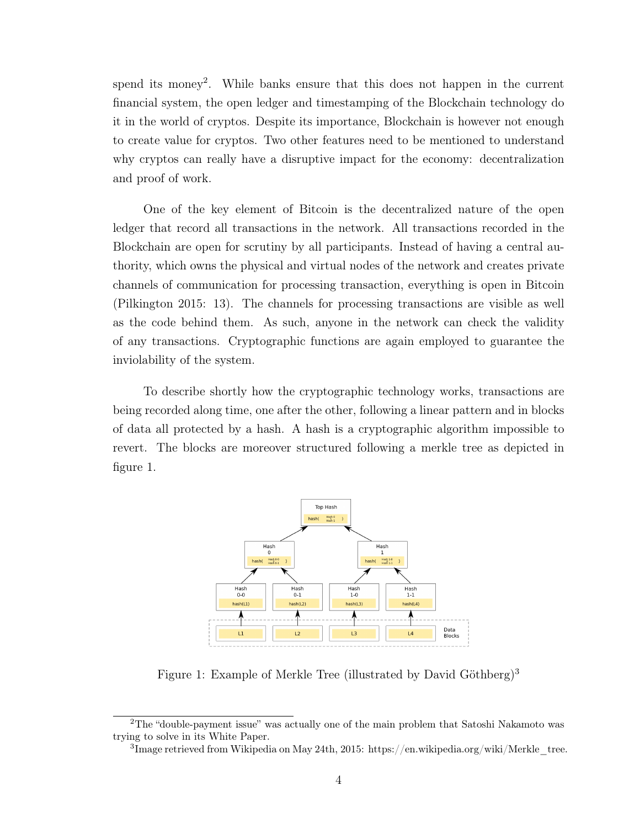spend its money<sup>2</sup>. While banks ensure that this does not happen in the current financial system, the open ledger and timestamping of the Blockchain technology do it in the world of cryptos. Despite its importance, Blockchain is however not enough to create value for cryptos. Two other features need to be mentioned to understand why cryptos can really have a disruptive impact for the economy: decentralization and proof of work.

One of the key element of Bitcoin is the decentralized nature of the open ledger that record all transactions in the network. All transactions recorded in the Blockchain are open for scrutiny by all participants. Instead of having a central authority, which owns the physical and virtual nodes of the network and creates private channels of communication for processing transaction, everything is open in Bitcoin (Pilkington 2015: 13). The channels for processing transactions are visible as well as the code behind them. As such, anyone in the network can check the validity of any transactions. Cryptographic functions are again employed to guarantee the inviolability of the system.

To describe shortly how the cryptographic technology works, transactions are being recorded along time, one after the other, following a linear pattern and in blocks of data all protected by a hash. A hash is a cryptographic algorithm impossible to revert. The blocks are moreover structured following a merkle tree as depicted in figure 1.



Figure 1: Example of Merkle Tree (illustrated by David Göthberg)<sup>3</sup>

<sup>2</sup>The "double-payment issue" was actually one of the main problem that Satoshi Nakamoto was trying to solve in its White Paper.

<sup>&</sup>lt;sup>3</sup>Image retrieved from Wikipedia on May 24th, 2015: https://en.wikipedia.org/wiki/Merkle\_tree.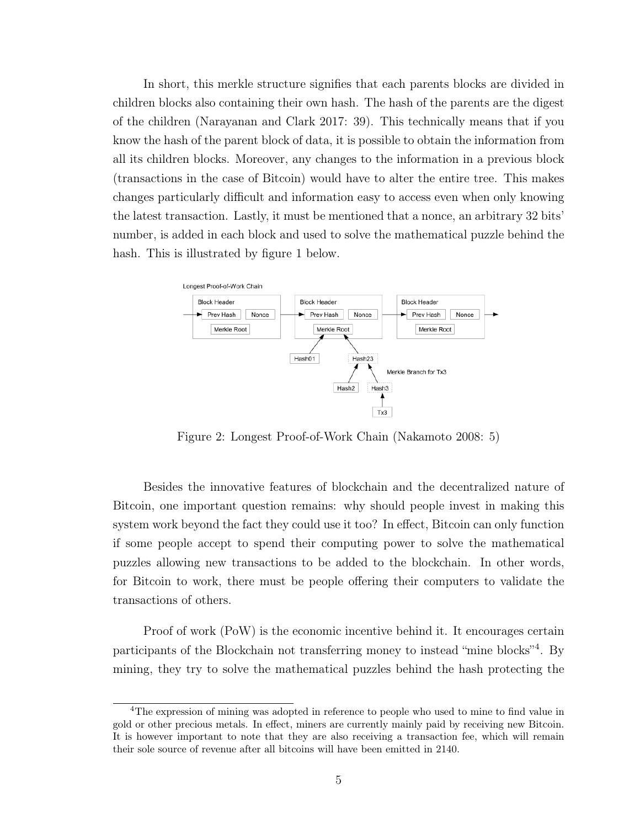In short, this merkle structure signifies that each parents blocks are divided in children blocks also containing their own hash. The hash of the parents are the digest of the children (Narayanan and Clark 2017: 39). This technically means that if you know the hash of the parent block of data, it is possible to obtain the information from all its children blocks. Moreover, any changes to the information in a previous block (transactions in the case of Bitcoin) would have to alter the entire tree. This makes changes particularly difficult and information easy to access even when only knowing the latest transaction. Lastly, it must be mentioned that a nonce, an arbitrary 32 bits' number, is added in each block and used to solve the mathematical puzzle behind the hash. This is illustrated by figure 1 below.



Figure 2: Longest Proof-of-Work Chain (Nakamoto 2008: 5)

Besides the innovative features of blockchain and the decentralized nature of Bitcoin, one important question remains: why should people invest in making this system work beyond the fact they could use it too? In effect, Bitcoin can only function if some people accept to spend their computing power to solve the mathematical puzzles allowing new transactions to be added to the blockchain. In other words, for Bitcoin to work, there must be people offering their computers to validate the transactions of others.

Proof of work (PoW) is the economic incentive behind it. It encourages certain participants of the Blockchain not transferring money to instead "mine blocks"<sup>4</sup>. By mining, they try to solve the mathematical puzzles behind the hash protecting the

<sup>4</sup>The expression of mining was adopted in reference to people who used to mine to find value in gold or other precious metals. In effect, miners are currently mainly paid by receiving new Bitcoin. It is however important to note that they are also receiving a transaction fee, which will remain their sole source of revenue after all bitcoins will have been emitted in 2140.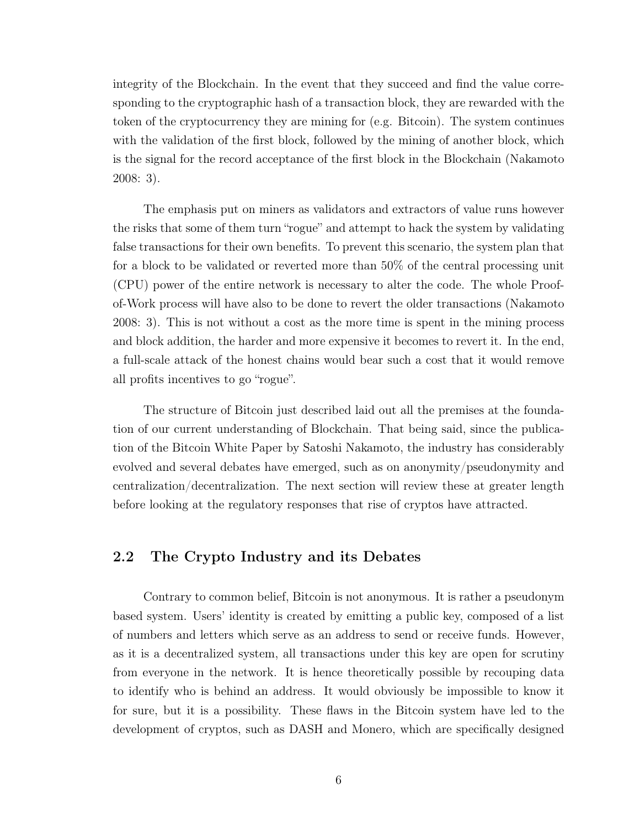integrity of the Blockchain. In the event that they succeed and find the value corresponding to the cryptographic hash of a transaction block, they are rewarded with the token of the cryptocurrency they are mining for (e.g. Bitcoin). The system continues with the validation of the first block, followed by the mining of another block, which is the signal for the record acceptance of the first block in the Blockchain (Nakamoto 2008: 3).

The emphasis put on miners as validators and extractors of value runs however the risks that some of them turn "rogue" and attempt to hack the system by validating false transactions for their own benefits. To prevent this scenario, the system plan that for a block to be validated or reverted more than 50% of the central processing unit (CPU) power of the entire network is necessary to alter the code. The whole Proofof-Work process will have also to be done to revert the older transactions (Nakamoto 2008: 3). This is not without a cost as the more time is spent in the mining process and block addition, the harder and more expensive it becomes to revert it. In the end, a full-scale attack of the honest chains would bear such a cost that it would remove all profits incentives to go "rogue".

The structure of Bitcoin just described laid out all the premises at the foundation of our current understanding of Blockchain. That being said, since the publication of the Bitcoin White Paper by Satoshi Nakamoto, the industry has considerably evolved and several debates have emerged, such as on anonymity/pseudonymity and centralization/decentralization. The next section will review these at greater length before looking at the regulatory responses that rise of cryptos have attracted.

#### 2.2 The Crypto Industry and its Debates

Contrary to common belief, Bitcoin is not anonymous. It is rather a pseudonym based system. Users' identity is created by emitting a public key, composed of a list of numbers and letters which serve as an address to send or receive funds. However, as it is a decentralized system, all transactions under this key are open for scrutiny from everyone in the network. It is hence theoretically possible by recouping data to identify who is behind an address. It would obviously be impossible to know it for sure, but it is a possibility. These flaws in the Bitcoin system have led to the development of cryptos, such as DASH and Monero, which are specifically designed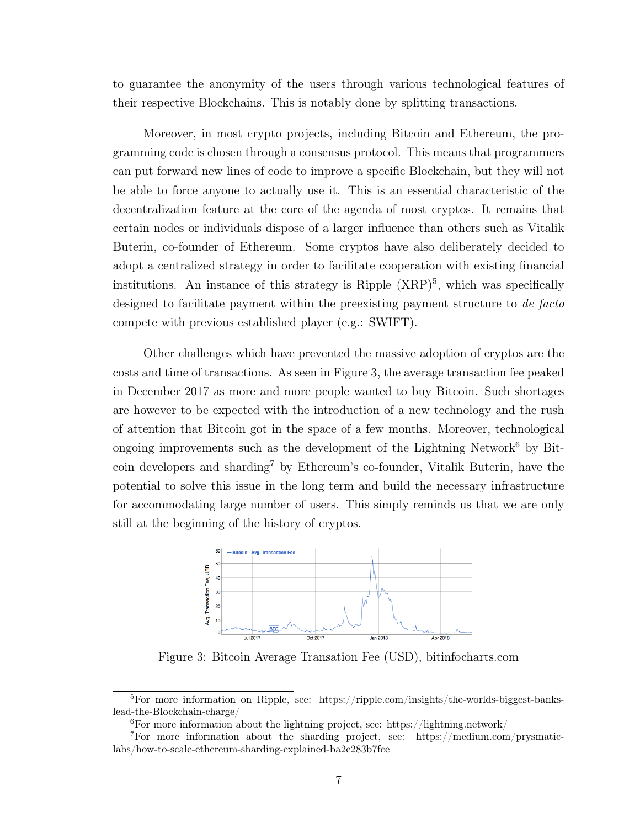to guarantee the anonymity of the users through various technological features of their respective Blockchains. This is notably done by splitting transactions.

Moreover, in most crypto projects, including Bitcoin and Ethereum, the programming code is chosen through a consensus protocol. This means that programmers can put forward new lines of code to improve a specific Blockchain, but they will not be able to force anyone to actually use it. This is an essential characteristic of the decentralization feature at the core of the agenda of most cryptos. It remains that certain nodes or individuals dispose of a larger influence than others such as Vitalik Buterin, co-founder of Ethereum. Some cryptos have also deliberately decided to adopt a centralized strategy in order to facilitate cooperation with existing financial institutions. An instance of this strategy is Ripple  $(XRP)^5$ , which was specifically designed to facilitate payment within the preexisting payment structure to de facto compete with previous established player (e.g.: SWIFT).

Other challenges which have prevented the massive adoption of cryptos are the costs and time of transactions. As seen in Figure 3, the average transaction fee peaked in December 2017 as more and more people wanted to buy Bitcoin. Such shortages are however to be expected with the introduction of a new technology and the rush of attention that Bitcoin got in the space of a few months. Moreover, technological ongoing improvements such as the development of the Lightning Network<sup>6</sup> by Bitcoin developers and sharding<sup>7</sup> by Ethereum's co-founder, Vitalik Buterin, have the potential to solve this issue in the long term and build the necessary infrastructure for accommodating large number of users. This simply reminds us that we are only still at the beginning of the history of cryptos.



Figure 3: Bitcoin Average Transation Fee (USD), bitinfocharts.com

 ${}^{5}$ For more information on Ripple, see: https://ripple.com/insights/the-worlds-biggest-bankslead-the-Blockchain-charge/

 ${}^{6}$ For more information about the lightning project, see: https://lightning.network/

<sup>7</sup>For more information about the sharding project, see: https://medium.com/prysmaticlabs/how-to-scale-ethereum-sharding-explained-ba2e283b7fce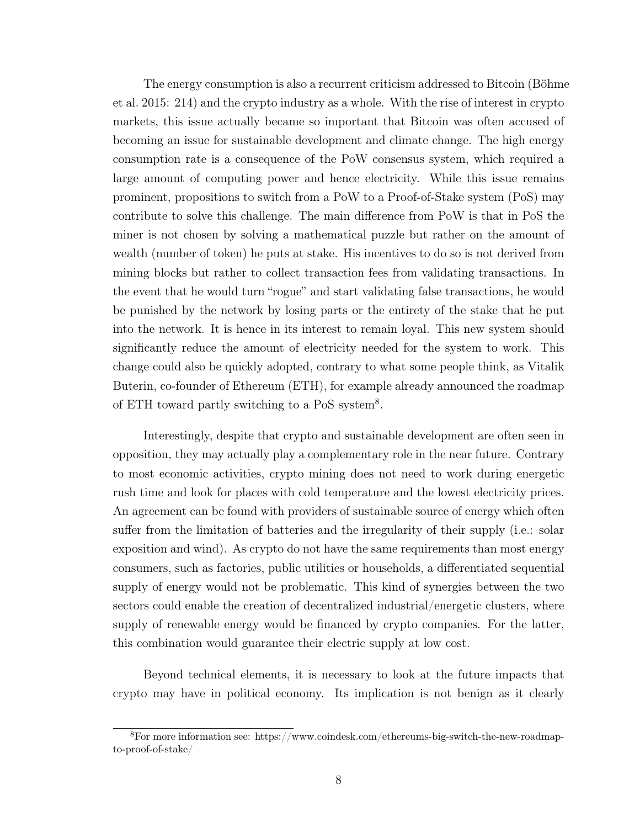The energy consumption is also a recurrent criticism addressed to Bitcoin (Böhme et al. 2015: 214) and the crypto industry as a whole. With the rise of interest in crypto markets, this issue actually became so important that Bitcoin was often accused of becoming an issue for sustainable development and climate change. The high energy consumption rate is a consequence of the PoW consensus system, which required a large amount of computing power and hence electricity. While this issue remains prominent, propositions to switch from a PoW to a Proof-of-Stake system (PoS) may contribute to solve this challenge. The main difference from PoW is that in PoS the miner is not chosen by solving a mathematical puzzle but rather on the amount of wealth (number of token) he puts at stake. His incentives to do so is not derived from mining blocks but rather to collect transaction fees from validating transactions. In the event that he would turn "rogue" and start validating false transactions, he would be punished by the network by losing parts or the entirety of the stake that he put into the network. It is hence in its interest to remain loyal. This new system should significantly reduce the amount of electricity needed for the system to work. This change could also be quickly adopted, contrary to what some people think, as Vitalik Buterin, co-founder of Ethereum (ETH), for example already announced the roadmap of ETH toward partly switching to a PoS system<sup>8</sup>.

Interestingly, despite that crypto and sustainable development are often seen in opposition, they may actually play a complementary role in the near future. Contrary to most economic activities, crypto mining does not need to work during energetic rush time and look for places with cold temperature and the lowest electricity prices. An agreement can be found with providers of sustainable source of energy which often suffer from the limitation of batteries and the irregularity of their supply (i.e.: solar exposition and wind). As crypto do not have the same requirements than most energy consumers, such as factories, public utilities or households, a differentiated sequential supply of energy would not be problematic. This kind of synergies between the two sectors could enable the creation of decentralized industrial/energetic clusters, where supply of renewable energy would be financed by crypto companies. For the latter, this combination would guarantee their electric supply at low cost.

Beyond technical elements, it is necessary to look at the future impacts that crypto may have in political economy. Its implication is not benign as it clearly

<sup>8</sup>For more information see: https://www.coindesk.com/ethereums-big-switch-the-new-roadmapto-proof-of-stake/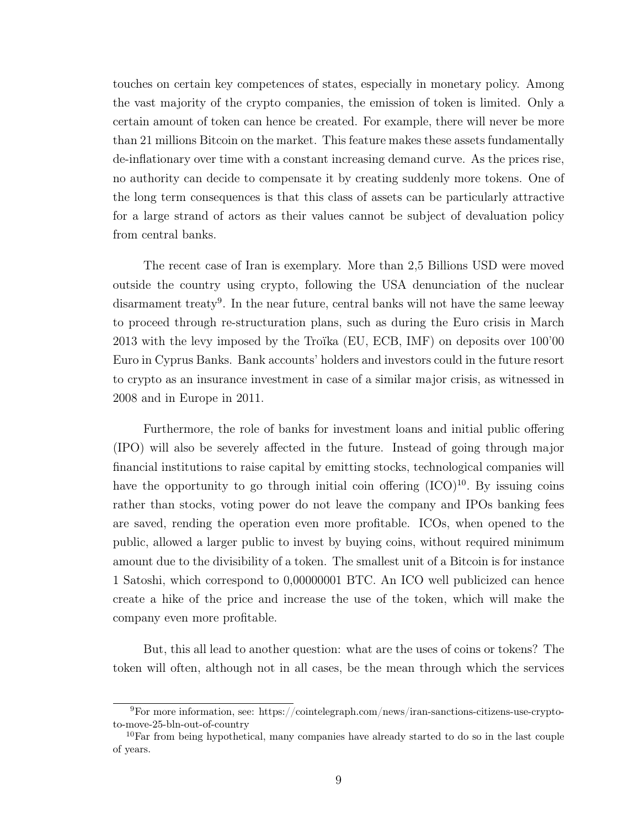touches on certain key competences of states, especially in monetary policy. Among the vast majority of the crypto companies, the emission of token is limited. Only a certain amount of token can hence be created. For example, there will never be more than 21 millions Bitcoin on the market. This feature makes these assets fundamentally de-inflationary over time with a constant increasing demand curve. As the prices rise, no authority can decide to compensate it by creating suddenly more tokens. One of the long term consequences is that this class of assets can be particularly attractive for a large strand of actors as their values cannot be subject of devaluation policy from central banks.

The recent case of Iran is exemplary. More than 2,5 Billions USD were moved outside the country using crypto, following the USA denunciation of the nuclear disarmament treaty<sup>9</sup>. In the near future, central banks will not have the same leeway to proceed through re-structuration plans, such as during the Euro crisis in March 2013 with the levy imposed by the Troïka (EU, ECB, IMF) on deposits over 100'00 Euro in Cyprus Banks. Bank accounts' holders and investors could in the future resort to crypto as an insurance investment in case of a similar major crisis, as witnessed in 2008 and in Europe in 2011.

Furthermore, the role of banks for investment loans and initial public offering (IPO) will also be severely affected in the future. Instead of going through major financial institutions to raise capital by emitting stocks, technological companies will have the opportunity to go through initial coin offering  $(ICO)^{10}$ . By issuing coins rather than stocks, voting power do not leave the company and IPOs banking fees are saved, rending the operation even more profitable. ICOs, when opened to the public, allowed a larger public to invest by buying coins, without required minimum amount due to the divisibility of a token. The smallest unit of a Bitcoin is for instance 1 Satoshi, which correspond to 0,00000001 BTC. An ICO well publicized can hence create a hike of the price and increase the use of the token, which will make the company even more profitable.

But, this all lead to another question: what are the uses of coins or tokens? The token will often, although not in all cases, be the mean through which the services

 $9$ For more information, see: https://cointelegraph.com/news/iran-sanctions-citizens-use-cryptoto-move-25-bln-out-of-country

 $10$ Far from being hypothetical, many companies have already started to do so in the last couple of years.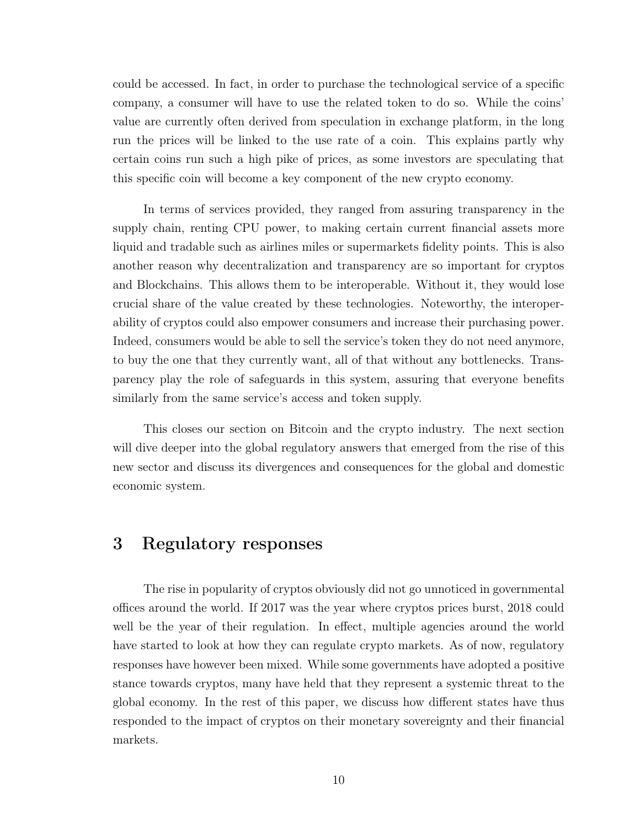could be accessed. In fact, in order to purchase the technological service of a specific company, a consumer will have to use the related token to do so. While the coins' value are currently often derived from speculation in exchange platform, in the long run the prices will be linked to the use rate of a coin. This explains partly why certain coins run such a high pike of prices, as some investors are speculating that this specific coin will become a key component of the new crypto economy.

In terms of services provided, they ranged from assuring transparency in the supply chain, renting CPU power, to making certain current financial assets more liquid and tradable such as airlines miles or supermarkets fidelity points. This is also another reason why decentralization and transparency are so important for cryptos and Blockchains. This allows them to be interoperable. Without it, they would lose crucial share of the value created by these technologies. Noteworthy, the interoperability of cryptos could also empower consumers and increase their purchasing power. Indeed, consumers would be able to sell the service's token they do not need anymore, to buy the one that they currently want, all of that without any bottlenecks. Transparency play the role of safeguards in this system, assuring that everyone benefits similarly from the same service's access and token supply.

This closes our section on Bitcoin and the crypto industry. The next section will dive deeper into the global regulatory answers that emerged from the rise of this new sector and discuss its divergences and consequences for the global and domestic economic system.

### 3 Regulatory responses

The rise in popularity of cryptos obviously did not go unnoticed in governmental offices around the world. If 2017 was the year where cryptos prices burst, 2018 could well be the year of their regulation. In effect, multiple agencies around the world have started to look at how they can regulate crypto markets. As of now, regulatory responses have however been mixed. While some governments have adopted a positive stance towards cryptos, many have held that they represent a systemic threat to the global economy. In the rest of this paper, we discuss how different states have thus responded to the impact of cryptos on their monetary sovereignty and their financial markets.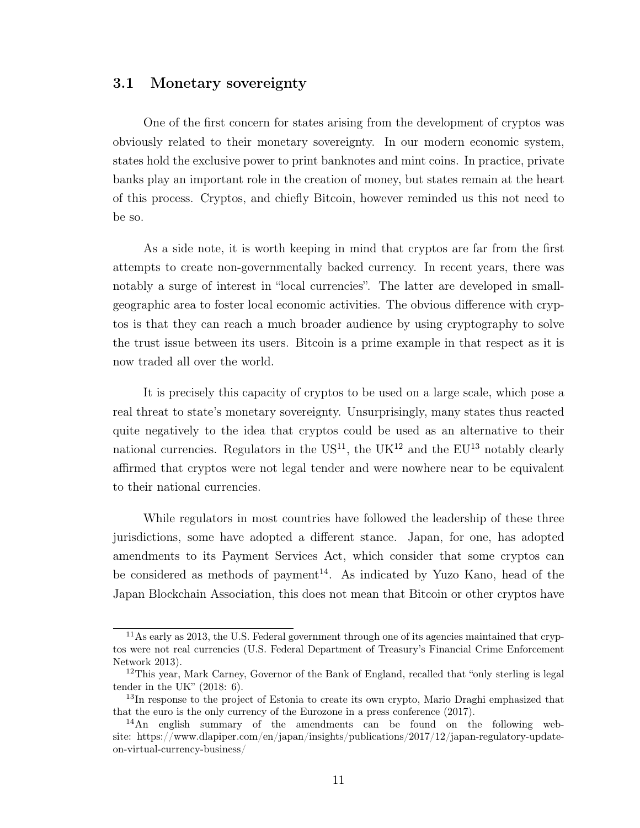#### 3.1 Monetary sovereignty

One of the first concern for states arising from the development of cryptos was obviously related to their monetary sovereignty. In our modern economic system, states hold the exclusive power to print banknotes and mint coins. In practice, private banks play an important role in the creation of money, but states remain at the heart of this process. Cryptos, and chiefly Bitcoin, however reminded us this not need to be so.

As a side note, it is worth keeping in mind that cryptos are far from the first attempts to create non-governmentally backed currency. In recent years, there was notably a surge of interest in "local currencies". The latter are developed in smallgeographic area to foster local economic activities. The obvious difference with cryptos is that they can reach a much broader audience by using cryptography to solve the trust issue between its users. Bitcoin is a prime example in that respect as it is now traded all over the world.

It is precisely this capacity of cryptos to be used on a large scale, which pose a real threat to state's monetary sovereignty. Unsurprisingly, many states thus reacted quite negatively to the idea that cryptos could be used as an alternative to their national currencies. Regulators in the  $US^{11}$ , the  $UK^{12}$  and the  $EU^{13}$  notably clearly affirmed that cryptos were not legal tender and were nowhere near to be equivalent to their national currencies.

While regulators in most countries have followed the leadership of these three jurisdictions, some have adopted a different stance. Japan, for one, has adopted amendments to its Payment Services Act, which consider that some cryptos can be considered as methods of payment<sup>14</sup>. As indicated by Yuzo Kano, head of the Japan Blockchain Association, this does not mean that Bitcoin or other cryptos have

<sup>&</sup>lt;sup>11</sup>As early as 2013, the U.S. Federal government through one of its agencies maintained that cryptos were not real currencies (U.S. Federal Department of Treasury's Financial Crime Enforcement Network 2013).

<sup>&</sup>lt;sup>12</sup>This year, Mark Carney, Governor of the Bank of England, recalled that "only sterling is legal" tender in the UK" (2018: 6).

<sup>&</sup>lt;sup>13</sup>In response to the project of Estonia to create its own crypto, Mario Draghi emphasized that that the euro is the only currency of the Eurozone in a press conference (2017).

<sup>14</sup>An english summary of the amendments can be found on the following website: https://www.dlapiper.com/en/japan/insights/publications/2017/12/japan-regulatory-updateon-virtual-currency-business/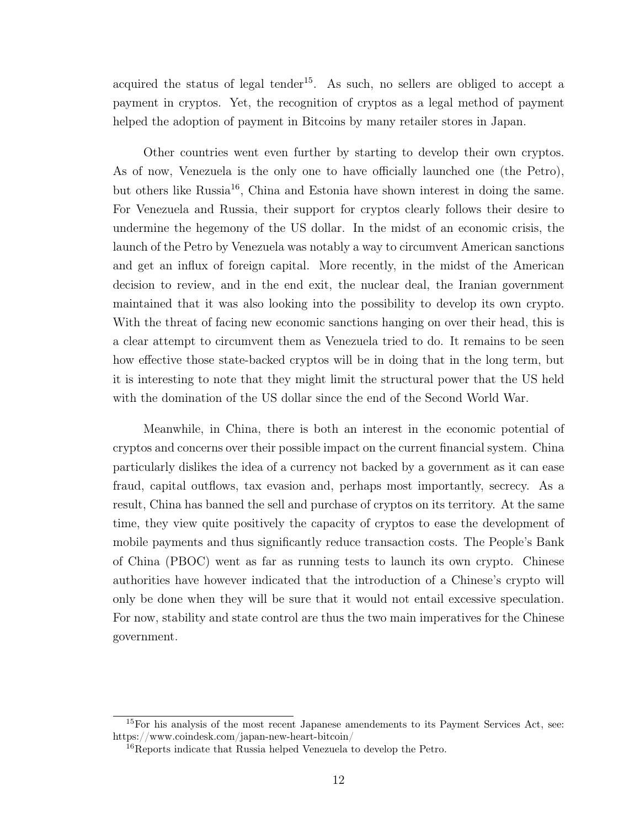acquired the status of legal tender<sup>15</sup>. As such, no sellers are obliged to accept a payment in cryptos. Yet, the recognition of cryptos as a legal method of payment helped the adoption of payment in Bitcoins by many retailer stores in Japan.

Other countries went even further by starting to develop their own cryptos. As of now, Venezuela is the only one to have officially launched one (the Petro), but others like Russia<sup>16</sup>, China and Estonia have shown interest in doing the same. For Venezuela and Russia, their support for cryptos clearly follows their desire to undermine the hegemony of the US dollar. In the midst of an economic crisis, the launch of the Petro by Venezuela was notably a way to circumvent American sanctions and get an influx of foreign capital. More recently, in the midst of the American decision to review, and in the end exit, the nuclear deal, the Iranian government maintained that it was also looking into the possibility to develop its own crypto. With the threat of facing new economic sanctions hanging on over their head, this is a clear attempt to circumvent them as Venezuela tried to do. It remains to be seen how effective those state-backed cryptos will be in doing that in the long term, but it is interesting to note that they might limit the structural power that the US held with the domination of the US dollar since the end of the Second World War.

Meanwhile, in China, there is both an interest in the economic potential of cryptos and concerns over their possible impact on the current financial system. China particularly dislikes the idea of a currency not backed by a government as it can ease fraud, capital outflows, tax evasion and, perhaps most importantly, secrecy. As a result, China has banned the sell and purchase of cryptos on its territory. At the same time, they view quite positively the capacity of cryptos to ease the development of mobile payments and thus significantly reduce transaction costs. The People's Bank of China (PBOC) went as far as running tests to launch its own crypto. Chinese authorities have however indicated that the introduction of a Chinese's crypto will only be done when they will be sure that it would not entail excessive speculation. For now, stability and state control are thus the two main imperatives for the Chinese government.

<sup>&</sup>lt;sup>15</sup>For his analysis of the most recent Japanese amendements to its Payment Services Act, see: https://www.coindesk.com/japan-new-heart-bitcoin/

<sup>16</sup>Reports indicate that Russia helped Venezuela to develop the Petro.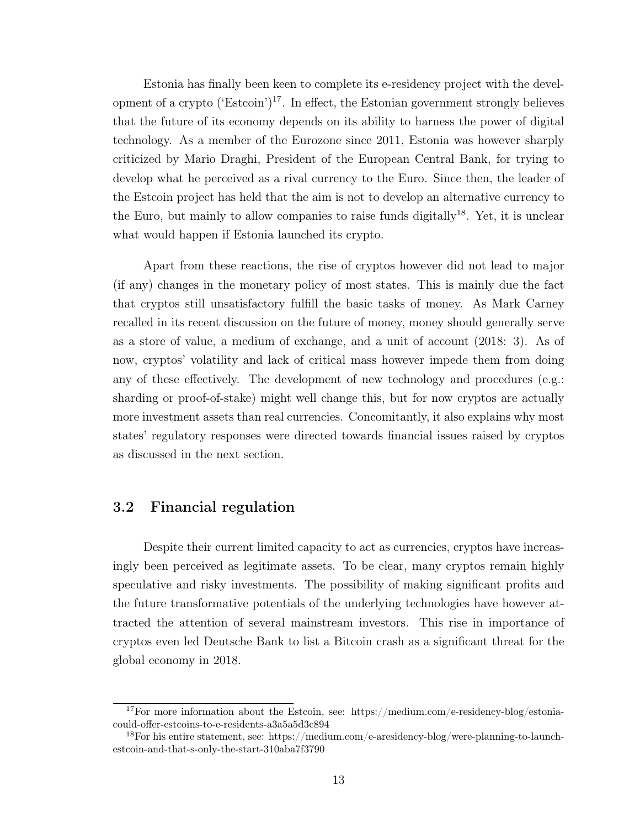Estonia has finally been keen to complete its e-residency project with the development of a crypto ('Estcoin')<sup>17</sup>. In effect, the Estonian government strongly believes that the future of its economy depends on its ability to harness the power of digital technology. As a member of the Eurozone since 2011, Estonia was however sharply criticized by Mario Draghi, President of the European Central Bank, for trying to develop what he perceived as a rival currency to the Euro. Since then, the leader of the Estcoin project has held that the aim is not to develop an alternative currency to the Euro, but mainly to allow companies to raise funds digitally<sup>18</sup>. Yet, it is unclear what would happen if Estonia launched its crypto.

Apart from these reactions, the rise of cryptos however did not lead to major (if any) changes in the monetary policy of most states. This is mainly due the fact that cryptos still unsatisfactory fulfill the basic tasks of money. As Mark Carney recalled in its recent discussion on the future of money, money should generally serve as a store of value, a medium of exchange, and a unit of account (2018: 3). As of now, cryptos' volatility and lack of critical mass however impede them from doing any of these effectively. The development of new technology and procedures (e.g.: sharding or proof-of-stake) might well change this, but for now cryptos are actually more investment assets than real currencies. Concomitantly, it also explains why most states' regulatory responses were directed towards financial issues raised by cryptos as discussed in the next section.

#### 3.2 Financial regulation

Despite their current limited capacity to act as currencies, cryptos have increasingly been perceived as legitimate assets. To be clear, many cryptos remain highly speculative and risky investments. The possibility of making significant profits and the future transformative potentials of the underlying technologies have however attracted the attention of several mainstream investors. This rise in importance of cryptos even led Deutsche Bank to list a Bitcoin crash as a significant threat for the global economy in 2018.

<sup>17</sup>For more information about the Estcoin, see: https://medium.com/e-residency-blog/estoniacould-offer-estcoins-to-e-residents-a3a5a5d3c894

<sup>18</sup>For his entire statement, see: https://medium.com/e-aresidency-blog/were-planning-to-launchestcoin-and-that-s-only-the-start-310aba7f3790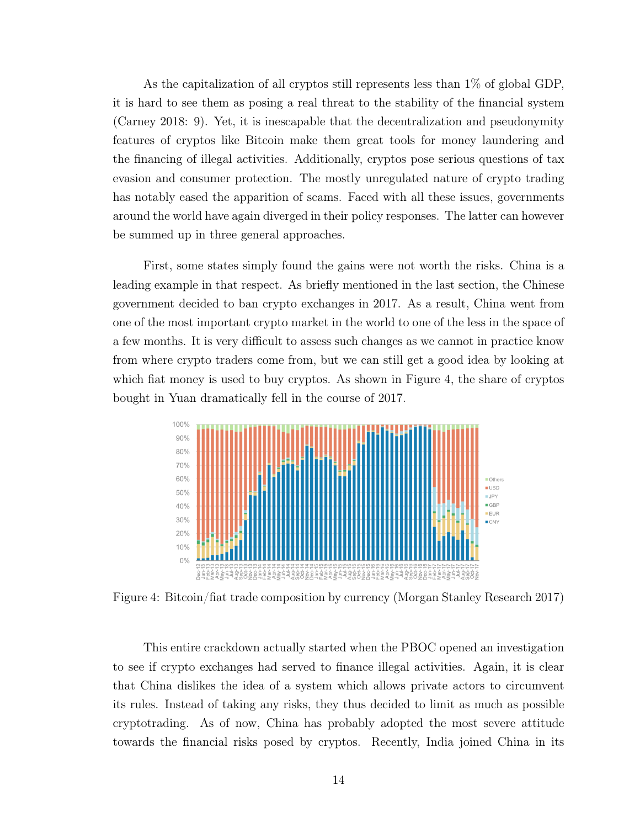As the capitalization of all cryptos still represents less than 1% of global GDP, it is hard to see them as posing a real threat to the stability of the financial system (Carney 2018: 9). Yet, it is inescapable that the decentralization and pseudonymity features of cryptos like Bitcoin make them great tools for money laundering and the financing of illegal activities. Additionally, cryptos pose serious questions of tax evasion and consumer protection. The mostly unregulated nature of crypto trading has notably eased the apparition of scams. Faced with all these issues, governments around the world have again diverged in their policy responses. The latter can however be summed up in three general approaches.

First, some states simply found the gains were not worth the risks. China is a leading example in that respect. As briefly mentioned in the last section, the Chinese government decided to ban crypto exchanges in 2017. As a result, China went from one of the most important crypto market in the world to one of the less in the space of a few months. It is very difficult to assess such changes as we cannot in practice know from where crypto traders come from, but we can still get a good idea by looking at which fiat money is used to buy cryptos. As shown in Figure 4, the share of cryptos bought in Yuan dramatically fell in the course of 2017.



Figure 4: Bitcoin/fiat trade composition by currency (Morgan Stanley Research 2017)

This entire crackdown actually started when the PBOC opened an investigation to see if crypto exchanges had served to finance illegal activities. Again, it is clear that China dislikes the idea of a system which allows private actors to circumvent its rules. Instead of taking any risks, they thus decided to limit as much as possible cryptotrading. As of now, China has probably adopted the most severe attitude towards the financial risks posed by cryptos. Recently, India joined China in its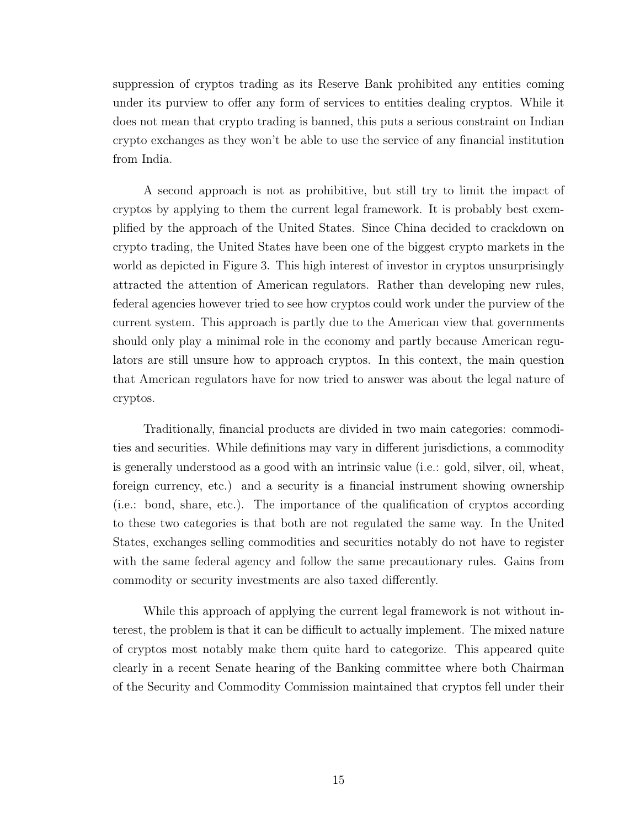suppression of cryptos trading as its Reserve Bank prohibited any entities coming under its purview to offer any form of services to entities dealing cryptos. While it does not mean that crypto trading is banned, this puts a serious constraint on Indian crypto exchanges as they won't be able to use the service of any financial institution from India.

A second approach is not as prohibitive, but still try to limit the impact of cryptos by applying to them the current legal framework. It is probably best exemplified by the approach of the United States. Since China decided to crackdown on crypto trading, the United States have been one of the biggest crypto markets in the world as depicted in Figure 3. This high interest of investor in cryptos unsurprisingly attracted the attention of American regulators. Rather than developing new rules, federal agencies however tried to see how cryptos could work under the purview of the current system. This approach is partly due to the American view that governments should only play a minimal role in the economy and partly because American regulators are still unsure how to approach cryptos. In this context, the main question that American regulators have for now tried to answer was about the legal nature of cryptos.

Traditionally, financial products are divided in two main categories: commodities and securities. While definitions may vary in different jurisdictions, a commodity is generally understood as a good with an intrinsic value (i.e.: gold, silver, oil, wheat, foreign currency, etc.) and a security is a financial instrument showing ownership (i.e.: bond, share, etc.). The importance of the qualification of cryptos according to these two categories is that both are not regulated the same way. In the United States, exchanges selling commodities and securities notably do not have to register with the same federal agency and follow the same precautionary rules. Gains from commodity or security investments are also taxed differently.

While this approach of applying the current legal framework is not without interest, the problem is that it can be difficult to actually implement. The mixed nature of cryptos most notably make them quite hard to categorize. This appeared quite clearly in a recent Senate hearing of the Banking committee where both Chairman of the Security and Commodity Commission maintained that cryptos fell under their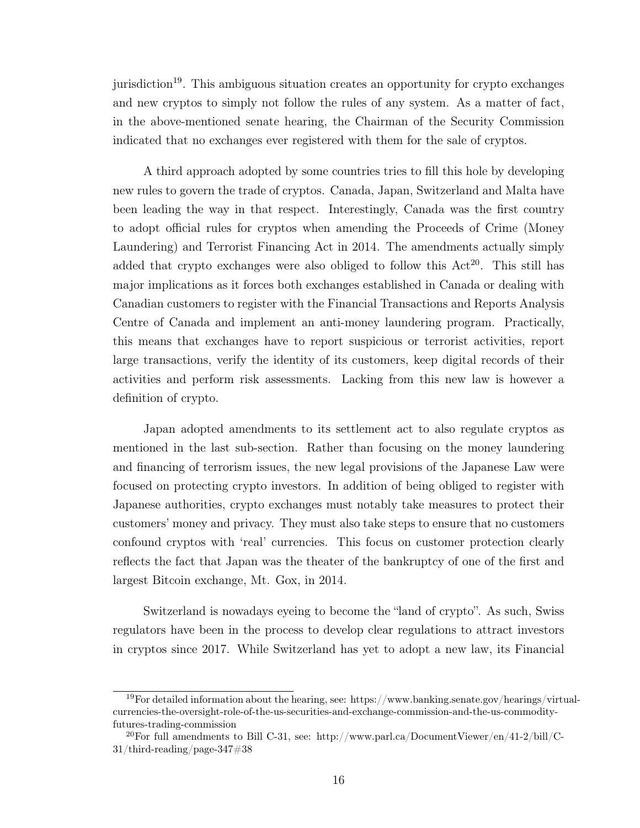jurisdiction<sup>19</sup>. This ambiguous situation creates an opportunity for crypto exchanges and new cryptos to simply not follow the rules of any system. As a matter of fact, in the above-mentioned senate hearing, the Chairman of the Security Commission indicated that no exchanges ever registered with them for the sale of cryptos.

A third approach adopted by some countries tries to fill this hole by developing new rules to govern the trade of cryptos. Canada, Japan, Switzerland and Malta have been leading the way in that respect. Interestingly, Canada was the first country to adopt official rules for cryptos when amending the Proceeds of Crime (Money Laundering) and Terrorist Financing Act in 2014. The amendments actually simply added that crypto exchanges were also obliged to follow this  $Act^{20}$ . This still has major implications as it forces both exchanges established in Canada or dealing with Canadian customers to register with the Financial Transactions and Reports Analysis Centre of Canada and implement an anti-money laundering program. Practically, this means that exchanges have to report suspicious or terrorist activities, report large transactions, verify the identity of its customers, keep digital records of their activities and perform risk assessments. Lacking from this new law is however a definition of crypto.

Japan adopted amendments to its settlement act to also regulate cryptos as mentioned in the last sub-section. Rather than focusing on the money laundering and financing of terrorism issues, the new legal provisions of the Japanese Law were focused on protecting crypto investors. In addition of being obliged to register with Japanese authorities, crypto exchanges must notably take measures to protect their customers' money and privacy. They must also take steps to ensure that no customers confound cryptos with 'real' currencies. This focus on customer protection clearly reflects the fact that Japan was the theater of the bankruptcy of one of the first and largest Bitcoin exchange, Mt. Gox, in 2014.

Switzerland is nowadays eyeing to become the "land of crypto". As such, Swiss regulators have been in the process to develop clear regulations to attract investors in cryptos since 2017. While Switzerland has yet to adopt a new law, its Financial

<sup>&</sup>lt;sup>19</sup>For detailed information about the hearing, see: https://www.banking.senate.gov/hearings/virtualcurrencies-the-oversight-role-of-the-us-securities-and-exchange-commission-and-the-us-commodityfutures-trading-commission

<sup>20</sup>For full amendments to Bill C-31, see: http://www.parl.ca/DocumentViewer/en/41-2/bill/C-31/third-reading/page-347#38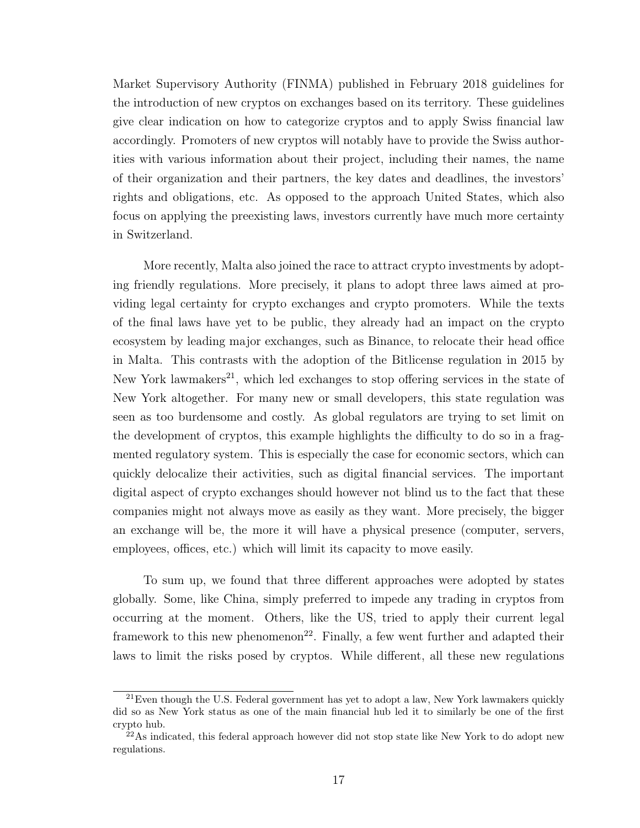Market Supervisory Authority (FINMA) published in February 2018 guidelines for the introduction of new cryptos on exchanges based on its territory. These guidelines give clear indication on how to categorize cryptos and to apply Swiss financial law accordingly. Promoters of new cryptos will notably have to provide the Swiss authorities with various information about their project, including their names, the name of their organization and their partners, the key dates and deadlines, the investors' rights and obligations, etc. As opposed to the approach United States, which also focus on applying the preexisting laws, investors currently have much more certainty in Switzerland.

More recently, Malta also joined the race to attract crypto investments by adopting friendly regulations. More precisely, it plans to adopt three laws aimed at providing legal certainty for crypto exchanges and crypto promoters. While the texts of the final laws have yet to be public, they already had an impact on the crypto ecosystem by leading major exchanges, such as Binance, to relocate their head office in Malta. This contrasts with the adoption of the Bitlicense regulation in 2015 by New York lawmakers<sup>21</sup>, which led exchanges to stop offering services in the state of New York altogether. For many new or small developers, this state regulation was seen as too burdensome and costly. As global regulators are trying to set limit on the development of cryptos, this example highlights the difficulty to do so in a fragmented regulatory system. This is especially the case for economic sectors, which can quickly delocalize their activities, such as digital financial services. The important digital aspect of crypto exchanges should however not blind us to the fact that these companies might not always move as easily as they want. More precisely, the bigger an exchange will be, the more it will have a physical presence (computer, servers, employees, offices, etc.) which will limit its capacity to move easily.

To sum up, we found that three different approaches were adopted by states globally. Some, like China, simply preferred to impede any trading in cryptos from occurring at the moment. Others, like the US, tried to apply their current legal framework to this new phenomenon<sup>22</sup>. Finally, a few went further and adapted their laws to limit the risks posed by cryptos. While different, all these new regulations

 $21$ Even though the U.S. Federal government has yet to adopt a law, New York lawmakers quickly did so as New York status as one of the main financial hub led it to similarly be one of the first crypto hub.

 $^{22}$ As indicated, this federal approach however did not stop state like New York to do adopt new regulations.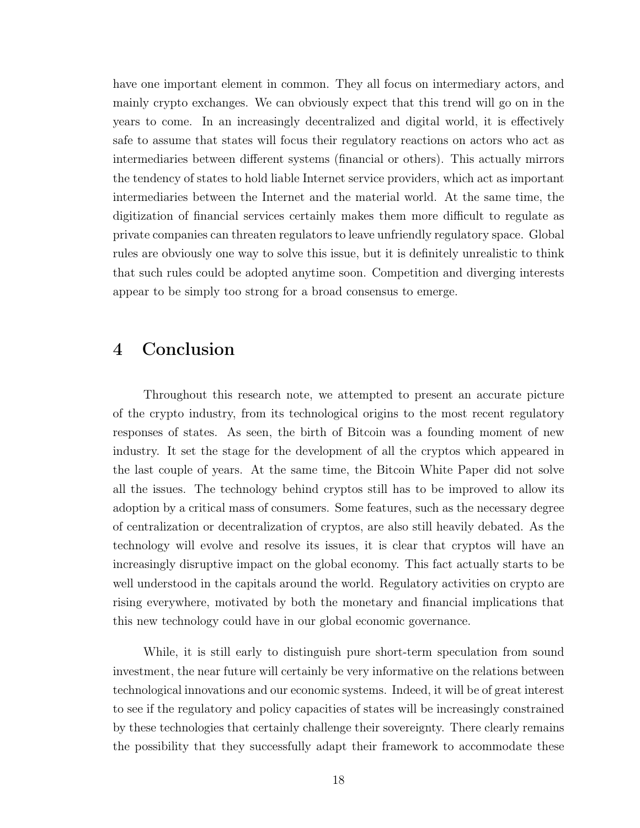have one important element in common. They all focus on intermediary actors, and mainly crypto exchanges. We can obviously expect that this trend will go on in the years to come. In an increasingly decentralized and digital world, it is effectively safe to assume that states will focus their regulatory reactions on actors who act as intermediaries between different systems (financial or others). This actually mirrors the tendency of states to hold liable Internet service providers, which act as important intermediaries between the Internet and the material world. At the same time, the digitization of financial services certainly makes them more difficult to regulate as private companies can threaten regulators to leave unfriendly regulatory space. Global rules are obviously one way to solve this issue, but it is definitely unrealistic to think that such rules could be adopted anytime soon. Competition and diverging interests appear to be simply too strong for a broad consensus to emerge.

## 4 Conclusion

Throughout this research note, we attempted to present an accurate picture of the crypto industry, from its technological origins to the most recent regulatory responses of states. As seen, the birth of Bitcoin was a founding moment of new industry. It set the stage for the development of all the cryptos which appeared in the last couple of years. At the same time, the Bitcoin White Paper did not solve all the issues. The technology behind cryptos still has to be improved to allow its adoption by a critical mass of consumers. Some features, such as the necessary degree of centralization or decentralization of cryptos, are also still heavily debated. As the technology will evolve and resolve its issues, it is clear that cryptos will have an increasingly disruptive impact on the global economy. This fact actually starts to be well understood in the capitals around the world. Regulatory activities on crypto are rising everywhere, motivated by both the monetary and financial implications that this new technology could have in our global economic governance.

While, it is still early to distinguish pure short-term speculation from sound investment, the near future will certainly be very informative on the relations between technological innovations and our economic systems. Indeed, it will be of great interest to see if the regulatory and policy capacities of states will be increasingly constrained by these technologies that certainly challenge their sovereignty. There clearly remains the possibility that they successfully adapt their framework to accommodate these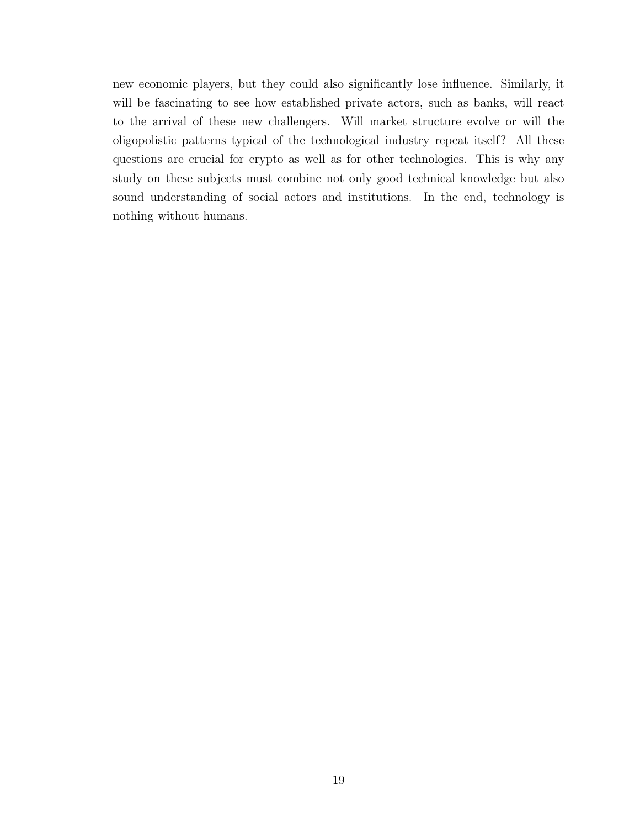new economic players, but they could also significantly lose influence. Similarly, it will be fascinating to see how established private actors, such as banks, will react to the arrival of these new challengers. Will market structure evolve or will the oligopolistic patterns typical of the technological industry repeat itself? All these questions are crucial for crypto as well as for other technologies. This is why any study on these subjects must combine not only good technical knowledge but also sound understanding of social actors and institutions. In the end, technology is nothing without humans.